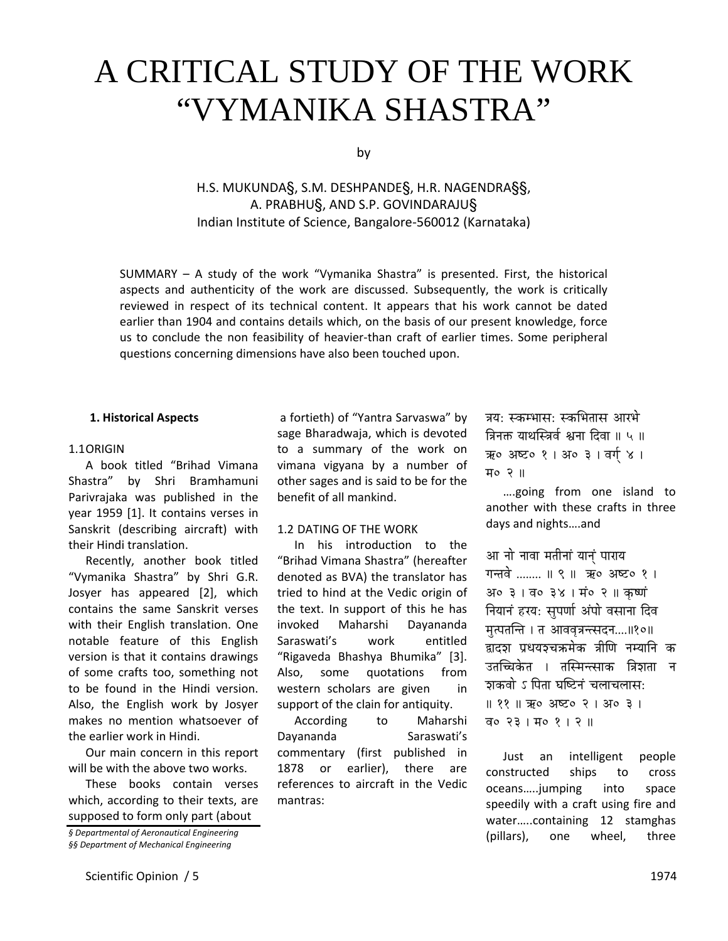# A CRITICAL STUDY OF THE WORK "VYMANIKA SHASTRA"

by

H.S. MUKUNDA§, S.M. DESHPANDE§, H.R. NAGENDRA§§, A. PRABHU§, AND S.P. GOVINDARAJU§ Indian Institute of Science, Bangalore‐560012 (Karnataka)

SUMMARY – A study of the work "Vymanika Shastra" is presented. First, the historical aspects and authenticity of the work are discussed. Subsequently, the work is critically reviewed in respect of its technical content. It appears that his work cannot be dated earlier than 1904 and contains details which, on the basis of our present knowledge, force us to conclude the non feasibility of heavier‐than craft of earlier times. Some peripheral questions concerning dimensions have also been touched upon.

#### **1. Historical Aspects**

#### 1.1ORIGIN

A book titled "Brihad Vimana Shastra" by Shri Bramhamuni Parivrajaka was published in the year 1959 [1]. It contains verses in Sanskrit (describing aircraft) with their Hindi translation.

Recently, another book titled "Vymanika Shastra" by Shri G.R. Josyer has appeared [2], which contains the same Sanskrit verses with their English translation. One notable feature of this English version is that it contains drawings of some crafts too, something not to be found in the Hindi version. Also, the English work by Josyer makes no mention whatsoever of the earlier work in Hindi.

Our main concern in this report will be with the above two works.

These books contain verses which, according to their texts, are supposed to form only part (about

a fortieth) of "Yantra Sarvaswa" by sage Bharadwaja, which is devoted to a summary of the work on vimana vigyana by a number of other sages and is said to be for the benefit of all mankind.

# 1.2 DATING OF THE WORK

In his introduction to the "Brihad Vimana Shastra" (hereafter denoted as BVA) the translator has tried to hind at the Vedic origin of the text. In support of this he has invoked Maharshi Dayananda Saraswati's work entitled "Rigaveda Bhashya Bhumika" [3]. Also, some quotations from western scholars are given in support of the clain for antiquity.

According to Maharshi Dayananda Saraswati's commentary (first published in 1878 or earlier), there are references to aircraft in the Vedic mantras:

त्रय: स्कम्भास: स्कभितास आरभे त्रिनक्त याथस्त्रिर्व श्वना दिवा ॥ ५ ॥ ऋ० अष्ट० १ | अ० ३ | वर्ग ४ | म० २ ॥

….going from one island to another with these crafts in three days and nights….and

आ नो नावा मतीनां यानं पाराय गन्तवे ........ ॥ ९ ॥ ऋ० अष्ट० १ । अ०३ । व०३४ । मं०२ ॥ कर्ष्ण नियानं हरय: सुपर्णा अंपो वसाना दिव मत्पतन्ति । त आववत्रन्त्सदन....।।१०।। द्वादश प्रथयश्चक्रमेक त्रीणि नम्यानि क उतच्चिकेत । तस्मिन्त्साक त्रिशता न <u>शकवो ऽ पिता घष्टिनं चलाचलासः</u> || ११ || ऋ० अष्ट० २ | अ० ३ | व० २३ | म० १ | २ ||

Just an intelligent people constructed ships to cross oceans…..jumping into space speedily with a craft using fire and water…..containing 12 stamghas (pillars), one wheel, three

*<sup>§</sup> Departmental of Aeronautical Engineering §§ Department of Mechanical Engineering*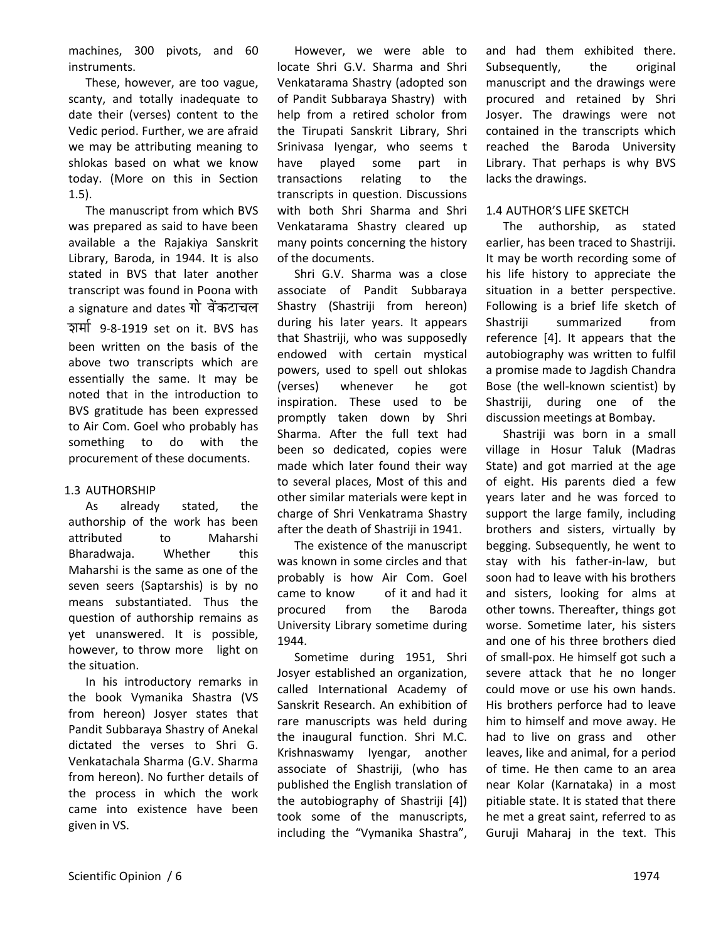machines, 300 pivots, and 60 instruments.

These, however, are too vague, scanty, and totally inadequate to date their (verses) content to the Vedic period. Further, we are afraid we may be attributing meaning to shlokas based on what we know today. (More on this in Section 1.5).

The manuscript from which BVS was prepared as said to have been available a the Rajakiya Sanskrit Library, Baroda, in 1944. It is also stated in BVS that later another transcript was found in Poona with a signature and dates गो वेंकटाचल zÉqÉÉï 9‐8‐1919 set on it. BVS has been written on the basis of the above two transcripts which are essentially the same. It may be noted that in the introduction to BVS gratitude has been expressed to Air Com. Goel who probably has something to do with the procurement of these documents.

# 1.3 AUTHORSHIP

As already stated, the authorship of the work has been attributed to Maharshi Bharadwaja. Whether this Maharshi is the same as one of the seven seers (Saptarshis) is by no means substantiated. Thus the question of authorship remains as yet unanswered. It is possible, however, to throw more light on the situation.

In his introductory remarks in the book Vymanika Shastra (VS from hereon) Josyer states that Pandit Subbaraya Shastry of Anekal dictated the verses to Shri G. Venkatachala Sharma (G.V. Sharma from hereon). No further details of the process in which the work came into existence have been given in VS.

However, we were able to locate Shri G.V. Sharma and Shri Venkatarama Shastry (adopted son of Pandit Subbaraya Shastry) with help from a retired scholor from the Tirupati Sanskrit Library, Shri Srinivasa Iyengar, who seems t have played some part in transactions relating to the transcripts in question. Discussions with both Shri Sharma and Shri Venkatarama Shastry cleared up many points concerning the history of the documents.

Shri G.V. Sharma was a close associate of Pandit Subbaraya Shastry (Shastriji from hereon) during his later years. It appears that Shastriji, who was supposedly endowed with certain mystical powers, used to spell out shlokas (verses) whenever he got inspiration. These used to be promptly taken down by Shri Sharma. After the full text had been so dedicated, copies were made which later found their way to several places, Most of this and other similar materials were kept in charge of Shri Venkatrama Shastry after the death of Shastriji in 1941.

The existence of the manuscript was known in some circles and that probably is how Air Com. Goel came to know of it and had it procured from the Baroda University Library sometime during 1944.

Sometime during 1951, Shri Josyer established an organization, called International Academy of Sanskrit Research. An exhibition of rare manuscripts was held during the inaugural function. Shri M.C. Krishnaswamy Iyengar, another associate of Shastriji, (who has published the English translation of the autobiography of Shastriji [4]) took some of the manuscripts, including the "Vymanika Shastra",

and had them exhibited there. Subsequently, the original manuscript and the drawings were procured and retained by Shri Josyer. The drawings were not contained in the transcripts which reached the Baroda University Library. That perhaps is why BVS lacks the drawings.

#### 1.4 AUTHOR'S LIFE SKETCH

The authorship, as stated earlier, has been traced to Shastriji. It may be worth recording some of his life history to appreciate the situation in a better perspective. Following is a brief life sketch of Shastriji summarized from reference [4]. It appears that the autobiography was written to fulfil a promise made to Jagdish Chandra Bose (the well‐known scientist) by Shastriji, during one of the discussion meetings at Bombay.

Shastriji was born in a small village in Hosur Taluk (Madras State) and got married at the age of eight. His parents died a few years later and he was forced to support the large family, including brothers and sisters, virtually by begging. Subsequently, he went to stay with his father‐in‐law, but soon had to leave with his brothers and sisters, looking for alms at other towns. Thereafter, things got worse. Sometime later, his sisters and one of his three brothers died of small‐pox. He himself got such a severe attack that he no longer could move or use his own hands. His brothers perforce had to leave him to himself and move away. He had to live on grass and other leaves, like and animal, for a period of time. He then came to an area near Kolar (Karnataka) in a most pitiable state. It is stated that there he met a great saint, referred to as Guruji Maharaj in the text. This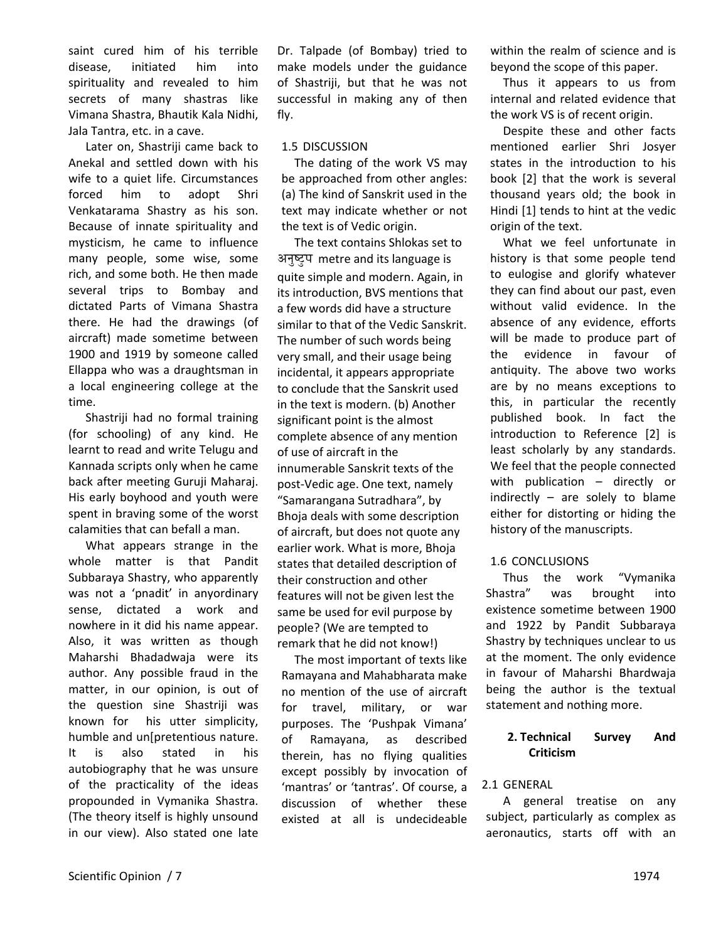saint cured him of his terrible disease, initiated him into spirituality and revealed to him secrets of many shastras like Vimana Shastra, Bhautik Kala Nidhi, Jala Tantra, etc. in a cave.

Later on, Shastriji came back to Anekal and settled down with his wife to a quiet life. Circumstances forced him to adopt Shri Venkatarama Shastry as his son. Because of innate spirituality and mysticism, he came to influence many people, some wise, some rich, and some both. He then made several trips to Bombay and dictated Parts of Vimana Shastra there. He had the drawings (of aircraft) made sometime between 1900 and 1919 by someone called Ellappa who was a draughtsman in a local engineering college at the time.

Shastriji had no formal training (for schooling) of any kind. He learnt to read and write Telugu and Kannada scripts only when he came back after meeting Guruji Maharaj. His early boyhood and youth were spent in braving some of the worst calamities that can befall a man.

What appears strange in the whole matter is that Pandit Subbaraya Shastry, who apparently was not a 'pnadit' in anyordinary sense, dictated a work and nowhere in it did his name appear. Also, it was written as though Maharshi Bhadadwaja were its author. Any possible fraud in the matter, in our opinion, is out of the question sine Shastriji was known for his utter simplicity, humble and un[pretentious nature. It is also stated in his autobiography that he was unsure of the practicality of the ideas propounded in Vymanika Shastra. (The theory itself is highly unsound in our view). Also stated one late Dr. Talpade (of Bombay) tried to make models under the guidance of Shastriji, but that he was not successful in making any of then fly.

# 1.5 DISCUSSION

The dating of the work VS may be approached from other angles: (a) The kind of Sanskrit used in the text may indicate whether or not the text is of Vedic origin.

The text contains Shlokas set to अनुष्ट्रप metre and its language is quite simple and modern. Again, in its introduction, BVS mentions that a few words did have a structure similar to that of the Vedic Sanskrit. The number of such words being very small, and their usage being incidental, it appears appropriate to conclude that the Sanskrit used in the text is modern. (b) Another significant point is the almost complete absence of any mention of use of aircraft in the innumerable Sanskrit texts of the post‐Vedic age. One text, namely "Samarangana Sutradhara", by Bhoja deals with some description of aircraft, but does not quote any earlier work. What is more, Bhoja states that detailed description of their construction and other features will not be given lest the same be used for evil purpose by people? (We are tempted to remark that he did not know!)

The most important of texts like Ramayana and Mahabharata make no mention of the use of aircraft for travel, military, or war purposes. The 'Pushpak Vimana' of Ramayana, as described therein, has no flying qualities except possibly by invocation of 'mantras' or 'tantras'. Of course, a discussion of whether these existed at all is undecideable within the realm of science and is beyond the scope of this paper.

Thus it appears to us from internal and related evidence that the work VS is of recent origin.

Despite these and other facts mentioned earlier Shri Josyer states in the introduction to his book [2] that the work is several thousand years old; the book in Hindi [1] tends to hint at the vedic origin of the text.

What we feel unfortunate in history is that some people tend to eulogise and glorify whatever they can find about our past, even without valid evidence. In the absence of any evidence, efforts will be made to produce part of the evidence in favour of antiquity. The above two works are by no means exceptions to this, in particular the recently published book. In fact the introduction to Reference [2] is least scholarly by any standards. We feel that the people connected with publication – directly or indirectly – are solely to blame either for distorting or hiding the history of the manuscripts.

# 1.6 CONCLUSIONS

Thus the work "Vymanika Shastra" was brought into existence sometime between 1900 and 1922 by Pandit Subbaraya Shastry by techniques unclear to us at the moment. The only evidence in favour of Maharshi Bhardwaja being the author is the textual statement and nothing more.

# **2. Technical Survey And Criticism**

# 2.1 GENERAL

A general treatise on any subject, particularly as complex as aeronautics, starts off with an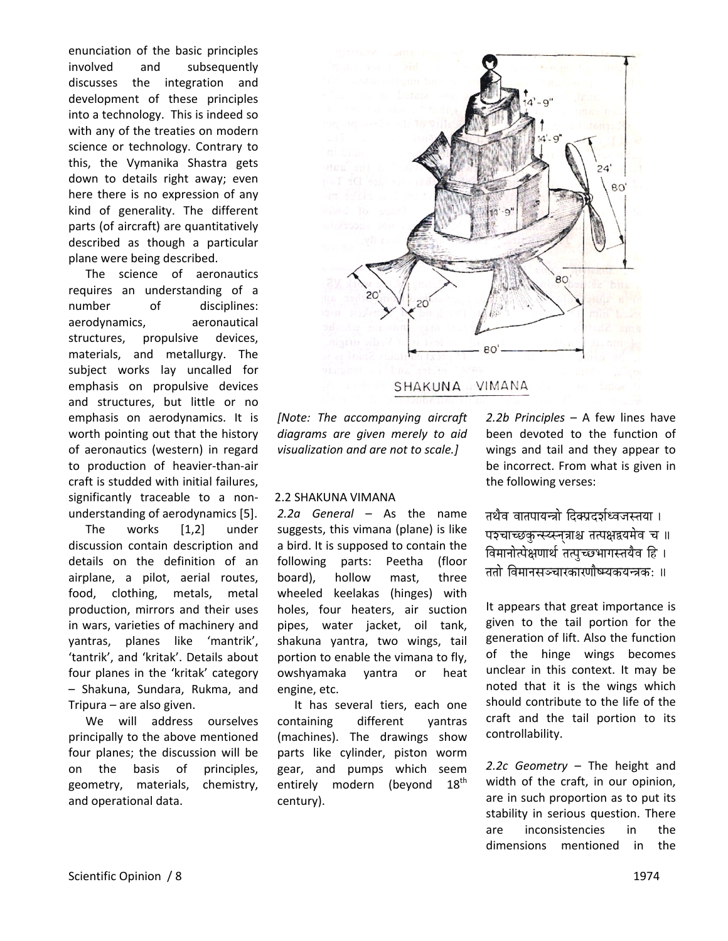enunciation of the basic principles involved and subsequently discusses the integration and development of these principles into a technology. This is indeed so with any of the treaties on modern science or technology. Contrary to this, the Vymanika Shastra gets down to details right away; even here there is no expression of any kind of generality. The different parts (of aircraft) are quantitatively described as though a particular plane were being described.

The science of aeronautics requires an understanding of a number of disciplines: aerodynamics, aeronautical structures, propulsive devices, materials, and metallurgy. The subject works lay uncalled for emphasis on propulsive devices and structures, but little or no emphasis on aerodynamics. It is worth pointing out that the history of aeronautics (western) in regard to production of heavier‐than‐air craft is studded with initial failures, significantly traceable to a nonunderstanding of aerodynamics [5].

The works [1,2] under discussion contain description and details on the definition of an airplane, a pilot, aerial routes, food, clothing, metals, metal production, mirrors and their uses in wars, varieties of machinery and yantras, planes like 'mantrik', 'tantrik', and 'kritak'. Details about four planes in the 'kritak' category – Shakuna, Sundara, Rukma, and Tripura – are also given.

We will address ourselves principally to the above mentioned four planes; the discussion will be on the basis of principles, geometry, materials, chemistry, and operational data.



#### SHAKUNA VIMANA

*[Note: The accompanying aircraft diagrams are given merely to aid visualization and are not to scale.]*

#### 2.2 SHAKUNA VIMANA

*2.2a General* – As the name suggests, this vimana (plane) is like a bird. It is supposed to contain the following parts: Peetha (floor board), hollow mast, three wheeled keelakas (hinges) with holes, four heaters, air suction pipes, water jacket, oil tank, shakuna yantra, two wings, tail portion to enable the vimana to fly, owshyamaka yantra or heat engine, etc.

It has several tiers, each one containing different yantras (machines). The drawings show parts like cylinder, piston worm gear, and pumps which seem entirely modern (beyond 18<sup>th</sup> century).

*2.2b Principles* – A few lines have been devoted to the function of wings and tail and they appear to be incorrect. From what is given in the following verses:

तथैव वातपायन्त्रो दिक्प्रदर्शध्वजस्तया । पश्चाच्छकुन्स्य्स्नुत्राश्च तत्पक्षद्वयमेव च ॥ विमानोत्पेक्षणार्थ तत्पच्छभागस्तयैव हि । ततो विमानसञ्चारकारणौष्म्यकयन्त्रक: ॥

It appears that great importance is given to the tail portion for the generation of lift. Also the function of the hinge wings becomes unclear in this context. It may be noted that it is the wings which should contribute to the life of the craft and the tail portion to its controllability.

*2.2c Geometry* – The height and width of the craft, in our opinion, are in such proportion as to put its stability in serious question. There are inconsistencies in the dimensions mentioned in the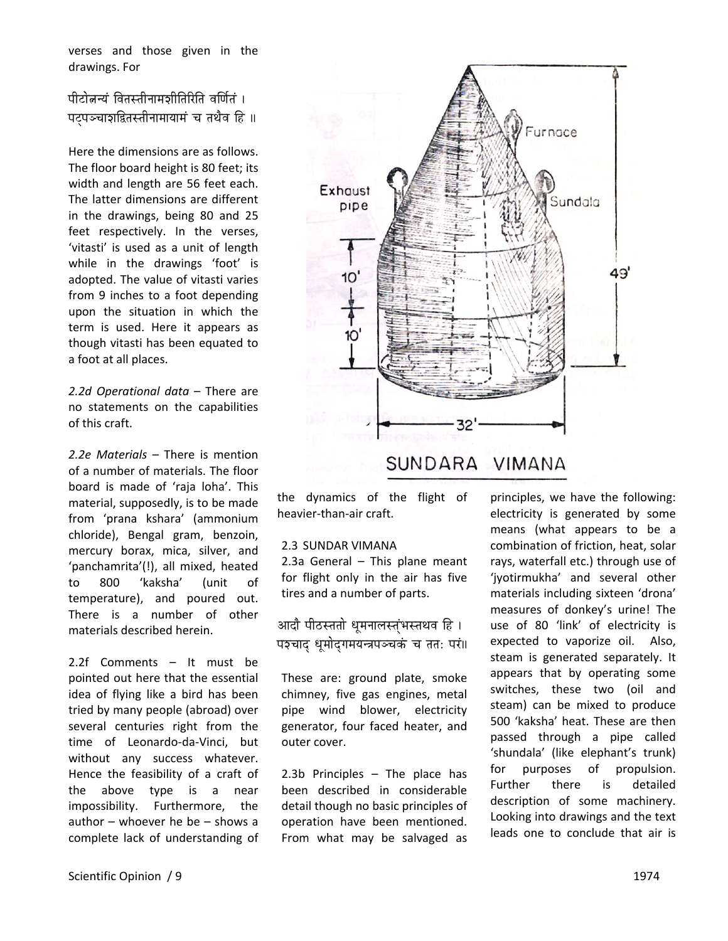verses and those given in the drawings. For

पीटोन्नन्यं वितस्तीनामञीतिरिति वर्णितं । पटपञ्चाशद्वितस्तीनामायामं च तथैव हि ॥

Here the dimensions are as follows. The floor board height is 80 feet; its width and length are 56 feet each. The latter dimensions are different in the drawings, being 80 and 25 feet respectively. In the verses, 'vitasti' is used as a unit of length while in the drawings 'foot' is adopted. The value of vitasti varies from 9 inches to a foot depending upon the situation in which the term is used. Here it appears as though vitasti has been equated to a foot at all places.

*2.2d Operational data* – There are no statements on the capabilities of this craft.

*2.2e Materials* – There is mention of a number of materials. The floor board is made of 'raja loha'. This material, supposedly, is to be made from 'prana kshara' (ammonium chloride), Bengal gram, benzoin, mercury borax, mica, silver, and 'panchamrita'(!), all mixed, heated to 800 'kaksha' (unit of temperature), and poured out. There is a number of other materials described herein.

2.2f Comments – It must be pointed out here that the essential idea of flying like a bird has been tried by many people (abroad) over several centuries right from the time of Leonardo‐da‐Vinci, but without any success whatever. Hence the feasibility of a craft of the above type is a near impossibility. Furthermore, the author – whoever he be – shows a complete lack of understanding of



the dynamics of the flight of heavier‐than‐air craft.

#### 2.3 SUNDAR VIMANA

2.3a General – This plane meant for flight only in the air has five tires and a number of parts.

आदौ पीठस्ततो धमनालस्तंभस्तथव हि । पङ्चाद् धुमोदुगमयन्त्रपञ्चकं च तत: परं॥

These are: ground plate, smoke chimney, five gas engines, metal pipe wind blower, electricity generator, four faced heater, and outer cover.

2.3b Principles – The place has been described in considerable detail though no basic principles of operation have been mentioned. From what may be salvaged as principles, we have the following: electricity is generated by some means (what appears to be a combination of friction, heat, solar rays, waterfall etc.) through use of 'jyotirmukha' and several other materials including sixteen 'drona' measures of donkey's urine! The use of 80 'link' of electricity is expected to vaporize oil. Also, steam is generated separately. It appears that by operating some switches, these two (oil and steam) can be mixed to produce 500 'kaksha' heat. These are then passed through a pipe called 'shundala' (like elephant's trunk) for purposes of propulsion. Further there is detailed description of some machinery. Looking into drawings and the text leads one to conclude that air is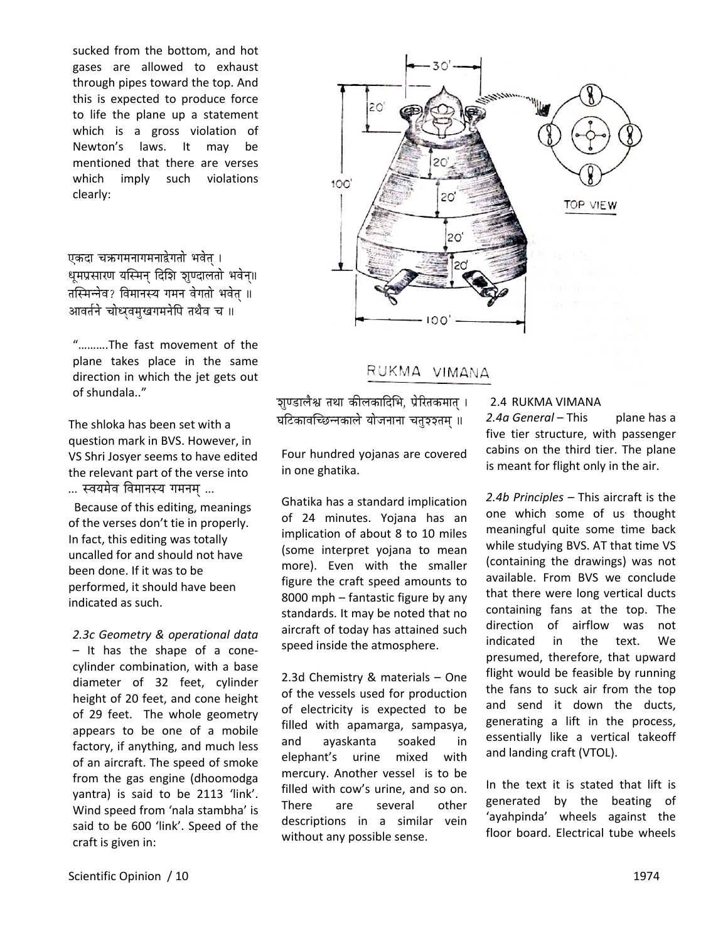sucked from the bottom, and hot gases are allowed to exhaust through pipes toward the top. And this is expected to produce force to life the plane up a statement which is a gross violation of Newton's laws. It may be mentioned that there are verses which imply such violations clearly:

एकदा चक्रगमनागमनाद्वेगतो भवेत । धूमप्रसारण यस्मिन् दिशि शूण्दालतो भवेन्॥ तस्मिन्नेव? विमानस्य गमन वेगतो भवेत ॥ आवर्तने चोध्यवमुखगमनेपि तथैव च ॥

"……….The fast movement of the plane takes place in the same direction in which the jet gets out of shundala.."

The shloka has been set with a question mark in BVS. However, in VS Shri Josyer seems to have edited the relevant part of the verse into ... स्वयमेव विमानस्य गमनम ...

Because of this editing, meanings of the verses don't tie in properly. In fact, this editing was totally uncalled for and should not have been done. If it was to be performed, it should have been indicated as such.

*2.3c Geometry & operational data* – It has the shape of a cone‐ cylinder combination, with a base diameter of 32 feet, cylinder height of 20 feet, and cone height of 29 feet. The whole geometry appears to be one of a mobile factory, if anything, and much less of an aircraft. The speed of smoke from the gas engine (dhoomodga yantra) is said to be 2113 'link'. Wind speed from 'nala stambha' is said to be 600 'link'. Speed of the craft is given in:



RUKMA VIMANA

<u>ज</u>्ञाण्डालैश्व तथा कीलकादिभि, प्रेरितकमात् । घटिकावच्छिन्नकाले योजनाना चतु३३तम् ॥

# Four hundred yojanas are covered in one ghatika.

Ghatika has a standard implication of 24 minutes. Yojana has an implication of about 8 to 10 miles (some interpret yojana to mean more). Even with the smaller figure the craft speed amounts to 8000 mph – fantastic figure by any standards. It may be noted that no aircraft of today has attained such speed inside the atmosphere.

2.3d Chemistry & materials – One of the vessels used for production of electricity is expected to be filled with apamarga, sampasya, and ayaskanta soaked in elephant's urine mixed with mercury. Another vessel is to be filled with cow's urine, and so on. There are several other descriptions in a similar vein without any possible sense.

# 2.4 RUKMA VIMANA

*2.4a General* – This plane has a five tier structure, with passenger cabins on the third tier. The plane is meant for flight only in the air.

*2.4b Principles –* This aircraft is the one which some of us thought meaningful quite some time back while studying BVS. AT that time VS (containing the drawings) was not available. From BVS we conclude that there were long vertical ducts containing fans at the top. The direction of airflow was not indicated in the text. We presumed, therefore, that upward flight would be feasible by running the fans to suck air from the top and send it down the ducts, generating a lift in the process, essentially like a vertical takeoff and landing craft (VTOL).

In the text it is stated that lift is generated by the beating of 'ayahpinda' wheels against the floor board. Electrical tube wheels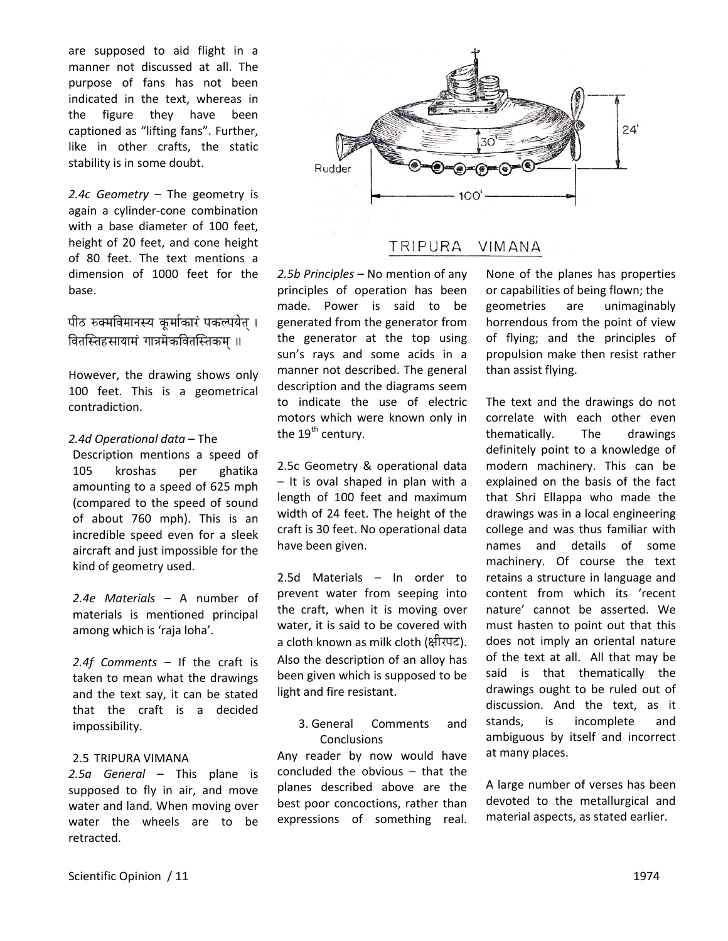are supposed to aid flight in a manner not discussed at all. The purpose of fans has not been indicated in the text, whereas in the figure they have been captioned as "lifting fans". Further, like in other crafts, the static stability is in some doubt.

*2.4c Geometry* – The geometry is again a cylinder‐cone combination with a base diameter of 100 feet, height of 20 feet, and cone height of 80 feet. The text mentions a dimension of 1000 feet for the base.

पीठ रुक्मविमानस्य कुर्माकारं पकल्पयेत । वितस्तिहसायामं गात्रमॆकवितस्तिकम ॥

However, the drawing shows only 100 feet. This is a geometrical contradiction.

#### *2.4d Operational data* – The

Description mentions a speed of 105 kroshas per ghatika amounting to a speed of 625 mph (compared to the speed of sound of about 760 mph). This is an incredible speed even for a sleek aircraft and just impossible for the kind of geometry used.

*2.4e Materials* – A number of materials is mentioned principal among which is 'raja loha'.

*2.4f Comments* – If the craft is taken to mean what the drawings and the text say, it can be stated that the craft is a decided impossibility.

# 2.5 TRIPURA VIMANA

*2.5a General* – This plane is supposed to fly in air, and move water and land. When moving over water the wheels are to be retracted.



#### TRIPURA VIMANA

*2.5b Principles* – No mention of any principles of operation has been made. Power is said to be generated from the generator from the generator at the top using sun's rays and some acids in a manner not described. The general description and the diagrams seem to indicate the use of electric motors which were known only in the  $19<sup>th</sup>$  century.

2.5c Geometry & operational data – It is oval shaped in plan with a length of 100 feet and maximum width of 24 feet. The height of the craft is 30 feet. No operational data have been given.

2.5d Materials – In order to prevent water from seeping into the craft, when it is moving over water, it is said to be covered with a cloth known as milk cloth (क्षीरपट). Also the description of an alloy has been given which is supposed to be light and fire resistant.

3. General Comments and Conclusions

Any reader by now would have concluded the obvious – that the planes described above are the best poor concoctions, rather than expressions of something real.

None of the planes has properties or capabilities of being flown; the geometries are unimaginably horrendous from the point of view of flying; and the principles of propulsion make then resist rather than assist flying.

The text and the drawings do not correlate with each other even thematically. The drawings definitely point to a knowledge of modern machinery. This can be explained on the basis of the fact that Shri Ellappa who made the drawings was in a local engineering college and was thus familiar with names and details of some machinery. Of course the text retains a structure in language and content from which its 'recent nature' cannot be asserted. We must hasten to point out that this does not imply an oriental nature of the text at all. All that may be said is that thematically the drawings ought to be ruled out of discussion. And the text, as it stands, is incomplete and ambiguous by itself and incorrect at many places.

A large number of verses has been devoted to the metallurgical and material aspects, as stated earlier.